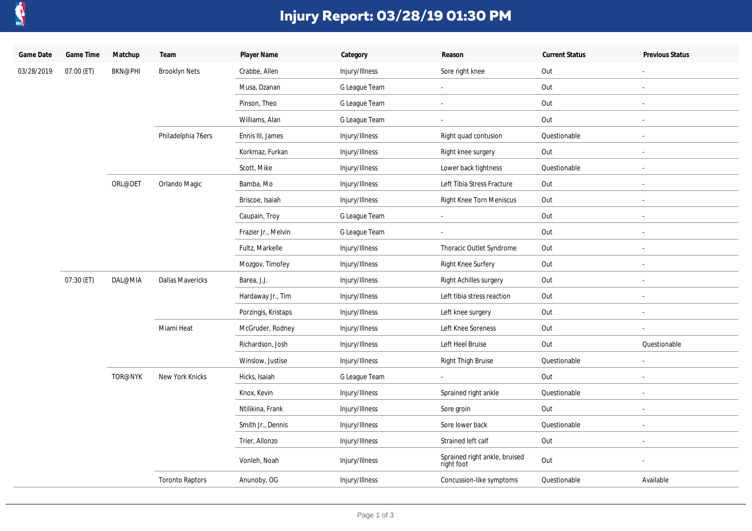

## **Injury Report: 03/28/19 01:30 PM**

| Game Date  | Game Time  | Matchup        | Team                    | Player Name         | Category       | Reason                                      | <b>Current Status</b> | Previous Status          |
|------------|------------|----------------|-------------------------|---------------------|----------------|---------------------------------------------|-----------------------|--------------------------|
| 03/28/2019 | 07:00 (ET) | <b>BKN@PHI</b> | <b>Brooklyn Nets</b>    | Crabbe, Allen       | Injury/Illness | Sore right knee                             | Out                   |                          |
|            |            |                |                         | Musa, Dzanan        | G League Team  |                                             | Out                   | ÷,                       |
|            |            |                |                         | Pinson, Theo        | G League Team  |                                             | Out                   | $\blacksquare$           |
|            |            |                |                         | Williams, Alan      | G League Team  |                                             | Out                   | $\blacksquare$           |
|            |            |                | Philadelphia 76ers      | Ennis III, James    | Injury/Illness | Right quad contusion                        | Questionable          | $\overline{\phantom{a}}$ |
|            |            |                |                         | Korkmaz, Furkan     | Injury/Illness | Right knee surgery                          | Out                   | $\blacksquare$           |
|            |            |                |                         | Scott, Mike         | Injury/Illness | Lower back tightness                        | Questionable          |                          |
|            |            | ORL@DET        | Orlando Magic           | Bamba, Mo           | Injury/Illness | Left Tibia Stress Fracture                  | Out                   | $\overline{\phantom{a}}$ |
|            |            |                |                         | Briscoe, Isaiah     | Injury/Illness | <b>Right Knee Torn Meniscus</b>             | Out                   | $\blacksquare$           |
|            |            |                |                         | Caupain, Troy       | G League Team  |                                             | Out                   | $\blacksquare$           |
|            |            |                |                         | Frazier Jr., Melvin | G League Team  |                                             | Out                   | $\blacksquare$           |
|            |            |                |                         | Fultz, Markelle     | Injury/Illness | Thoracic Outlet Syndrome                    | Out                   | $\overline{\phantom{a}}$ |
|            |            |                |                         | Mozgov, Timofey     | Injury/Illness | Right Knee Surfery                          | Out                   | $\blacksquare$           |
|            | 07:30 (ET) | DAL@MIA        | <b>Dallas Mavericks</b> | Barea, J.J.         | Injury/Illness | <b>Right Achilles surgery</b>               | Out                   | ÷.                       |
|            |            |                |                         | Hardaway Jr., Tim   | Injury/Illness | Left tibia stress reaction                  | Out                   | $\blacksquare$           |
|            |            |                |                         | Porzingis, Kristaps | Injury/Illness | Left knee surgery                           | Out                   | $\mathcal{L}$            |
|            |            |                | Miami Heat              | McGruder, Rodney    | Injury/Illness | Left Knee Soreness                          | Out                   |                          |
|            |            |                |                         | Richardson, Josh    | Injury/Illness | Left Heel Bruise                            | Out                   | Questionable             |
|            |            |                |                         | Winslow, Justise    | Injury/Illness | <b>Right Thigh Bruise</b>                   | Questionable          | $\overline{a}$           |
|            |            | TOR@NYK        | New York Knicks         | Hicks, Isaiah       | G League Team  |                                             | Out                   |                          |
|            |            |                |                         | Knox, Kevin         | Injury/Illness | Sprained right ankle                        | Questionable          | $\overline{\phantom{a}}$ |
|            |            |                |                         | Ntilikina, Frank    | Injury/Illness | Sore groin                                  | Out                   | $\blacksquare$           |
|            |            |                |                         | Smith Jr., Dennis   | Injury/Illness | Sore lower back                             | Questionable          | $\blacksquare$           |
|            |            |                |                         | Trier, Allonzo      | Injury/Illness | Strained left calf                          | Out                   | ÷.                       |
|            |            |                |                         | Vonleh, Noah        | Injury/Illness | Sprained right ankle, bruised<br>right foot | Out                   |                          |
|            |            |                | <b>Toronto Raptors</b>  | Anunoby, OG         | Injury/Illness | Concussion-like symptoms                    | Questionable          | Available                |
|            |            |                |                         |                     |                |                                             |                       |                          |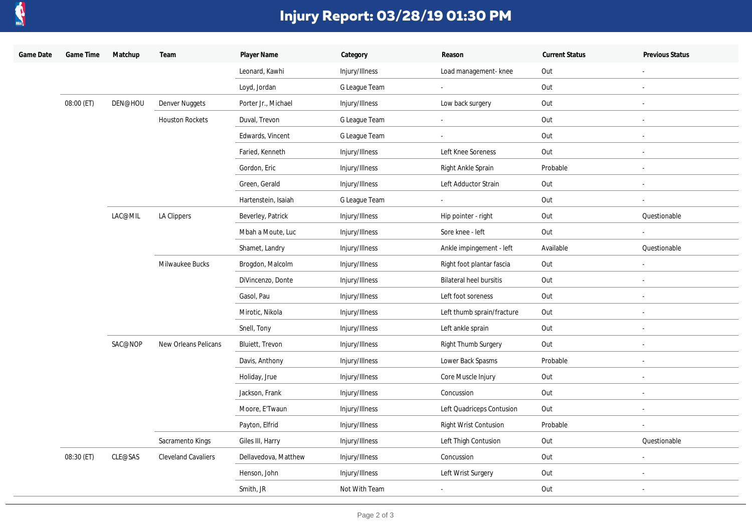

## **Injury Report: 03/28/19 01:30 PM**

| Game Date | Game Time  | Matchup | Team                       | Player Name          | Category       | Reason                     | <b>Current Status</b> | Previous Status          |
|-----------|------------|---------|----------------------------|----------------------|----------------|----------------------------|-----------------------|--------------------------|
|           |            |         |                            | Leonard, Kawhi       | Injury/Illness | Load management- knee      | Out                   |                          |
|           |            |         |                            | Loyd, Jordan         | G League Team  | $\sim$                     | Out                   | $\blacksquare$           |
|           | 08:00 (ET) | DEN@HOU | Denver Nuggets             | Porter Jr., Michael  | Injury/Illness | Low back surgery           | Out                   | $\blacksquare$           |
|           |            |         | <b>Houston Rockets</b>     | Duval, Trevon        | G League Team  | $\omega$                   | Out                   | $\blacksquare$           |
|           |            |         |                            | Edwards, Vincent     | G League Team  |                            | Out                   | $\blacksquare$           |
|           |            |         |                            | Faried, Kenneth      | Injury/Illness | Left Knee Soreness         | Out                   | ä,                       |
|           |            |         |                            | Gordon, Eric         | Injury/Illness | Right Ankle Sprain         | Probable              | $\overline{\phantom{a}}$ |
|           |            |         |                            | Green, Gerald        | Injury/Illness | Left Adductor Strain       | Out                   | ä,                       |
|           |            |         |                            | Hartenstein, Isaiah  | G League Team  |                            | Out                   |                          |
|           |            | LAC@MIL | LA Clippers                | Beverley, Patrick    | Injury/Illness | Hip pointer - right        | Out                   | Questionable             |
|           |            |         |                            | Mbah a Moute, Luc    | Injury/Illness | Sore knee - left           | Out                   |                          |
|           |            |         |                            | Shamet, Landry       | Injury/Illness | Ankle impingement - left   | Available             | Questionable             |
|           |            |         | Milwaukee Bucks            | Brogdon, Malcolm     | Injury/Illness | Right foot plantar fascia  | Out                   | $\blacksquare$           |
|           |            |         |                            | DiVincenzo, Donte    | Injury/Illness | Bilateral heel bursitis    | Out                   | $\omega$                 |
|           |            |         |                            | Gasol, Pau           | Injury/Illness | Left foot soreness         | Out                   | $\sim$                   |
|           |            |         |                            | Mirotic, Nikola      | Injury/Illness | Left thumb sprain/fracture | Out                   | ä,                       |
|           |            |         |                            | Snell, Tony          | Injury/Illness | Left ankle sprain          | Out                   | $\blacksquare$           |
|           |            | SAC@NOP | New Orleans Pelicans       | Bluiett, Trevon      | Injury/Illness | Right Thumb Surgery        | Out                   | $\blacksquare$           |
|           |            |         |                            | Davis, Anthony       | Injury/Illness | Lower Back Spasms          | Probable              | $\sim$                   |
|           |            |         |                            | Holiday, Jrue        | Injury/Illness | Core Muscle Injury         | Out                   |                          |
|           |            |         |                            | Jackson, Frank       | Injury/Illness | Concussion                 | Out                   | $\overline{\phantom{a}}$ |
|           |            |         |                            | Moore, E'Twaun       | Injury/Illness | Left Quadriceps Contusion  | Out                   | $\sim$                   |
|           |            |         |                            | Payton, Elfrid       | Injury/Illness | Right Wrist Contusion      | Probable              | $\blacksquare$           |
|           |            |         | Sacramento Kings           | Giles III, Harry     | Injury/Illness | Left Thigh Contusion       | Out                   | Questionable             |
|           | 08:30 (ET) | CLE@SAS | <b>Cleveland Cavaliers</b> | Dellavedova, Matthew | Injury/Illness | Concussion                 | Out                   | $\blacksquare$           |
|           |            |         |                            | Henson, John         | Injury/Illness | Left Wrist Surgery         | Out                   | $\overline{\phantom{a}}$ |
|           |            |         |                            | Smith, JR            | Not With Team  | $\blacksquare$             | Out                   | $\sim$                   |